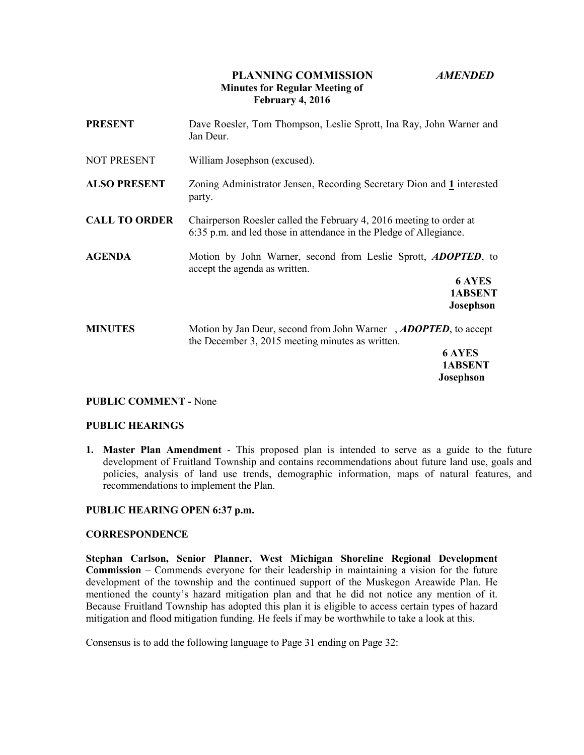# **PLANNING COMMISSION** *AMENDED* **Minutes for Regular Meeting of February 4, 2016**

| <b>PRESENT</b>       | Dave Roesler, Tom Thompson, Leslie Sprott, Ina Ray, John Warner and<br>Jan Deur.                                                                             |
|----------------------|--------------------------------------------------------------------------------------------------------------------------------------------------------------|
| <b>NOT PRESENT</b>   | William Josephson (excused).                                                                                                                                 |
| <b>ALSO PRESENT</b>  | Zoning Administrator Jensen, Recording Secretary Dion and 1 interested<br>party.                                                                             |
| <b>CALL TO ORDER</b> | Chairperson Roesler called the February 4, 2016 meeting to order at<br>6:35 p.m. and led those in attendance in the Pledge of Allegiance.                    |
| <b>AGENDA</b>        | Motion by John Warner, second from Leslie Sprott, <i>ADOPTED</i> , to<br>accept the agenda as written.<br><b>6 AYES</b><br>1ABSENT<br><b>Josephson</b>       |
| <b>MINUTES</b>       | Motion by Jan Deur, second from John Warner, ADOPTED, to accept<br>the December 3, 2015 meeting minutes as written.<br>6 AYES<br>1ABSENT<br><b>Josephson</b> |

#### **PUBLIC COMMENT -** None

#### **PUBLIC HEARINGS**

**1. Master Plan Amendment** - This proposed plan is intended to serve as a guide to the future development of Fruitland Township and contains recommendations about future land use, goals and policies, analysis of land use trends, demographic information, maps of natural features, and recommendations to implement the Plan.

## **PUBLIC HEARING OPEN 6:37 p.m.**

#### **CORRESPONDENCE**

**Stephan Carlson, Senior Planner, West Michigan Shoreline Regional Development Commission** – Commends everyone for their leadership in maintaining a vision for the future development of the township and the continued support of the Muskegon Areawide Plan. He mentioned the county's hazard mitigation plan and that he did not notice any mention of it. Because Fruitland Township has adopted this plan it is eligible to access certain types of hazard mitigation and flood mitigation funding. He feels if may be worthwhile to take a look at this.

Consensus is to add the following language to Page 31 ending on Page 32: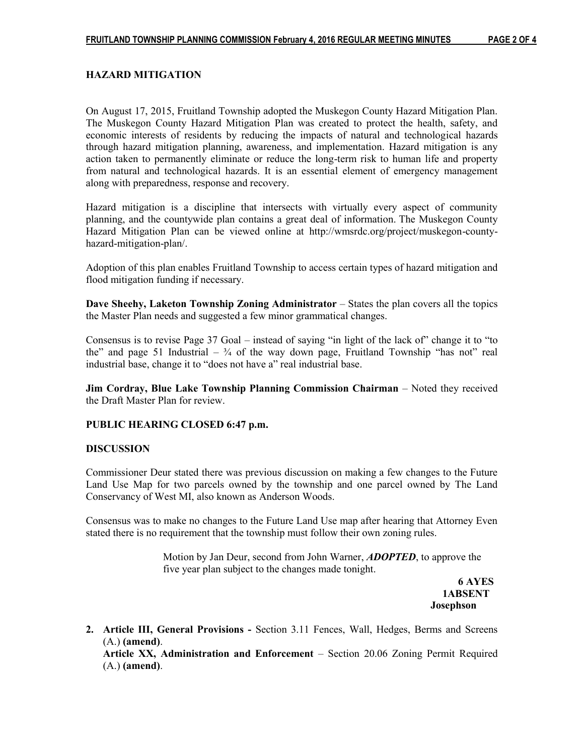## **HAZARD MITIGATION**

On August 17, 2015, Fruitland Township adopted the Muskegon County Hazard Mitigation Plan. The Muskegon County Hazard Mitigation Plan was created to protect the health, safety, and economic interests of residents by reducing the impacts of natural and technological hazards through hazard mitigation planning, awareness, and implementation. Hazard mitigation is any action taken to permanently eliminate or reduce the long-term risk to human life and property from natural and technological hazards. It is an essential element of emergency management along with preparedness, response and recovery.

Hazard mitigation is a discipline that intersects with virtually every aspect of community planning, and the countywide plan contains a great deal of information. The Muskegon County Hazard Mitigation Plan can be viewed online at http://wmsrdc.org/project/muskegon-countyhazard-mitigation-plan/.

Adoption of this plan enables Fruitland Township to access certain types of hazard mitigation and flood mitigation funding if necessary.

**Dave Sheehy, Laketon Township Zoning Administrator** – States the plan covers all the topics the Master Plan needs and suggested a few minor grammatical changes.

Consensus is to revise Page 37 Goal – instead of saying "in light of the lack of" change it to "to the" and page 51 Industrial  $-3/4$  of the way down page, Fruitland Township "has not" real industrial base, change it to "does not have a" real industrial base.

**Jim Cordray, Blue Lake Township Planning Commission Chairman** – Noted they received the Draft Master Plan for review.

#### **PUBLIC HEARING CLOSED 6:47 p.m.**

#### **DISCUSSION**

Commissioner Deur stated there was previous discussion on making a few changes to the Future Land Use Map for two parcels owned by the township and one parcel owned by The Land Conservancy of West MI, also known as Anderson Woods.

Consensus was to make no changes to the Future Land Use map after hearing that Attorney Even stated there is no requirement that the township must follow their own zoning rules.

> Motion by Jan Deur, second from John Warner, *ADOPTED*, to approve the five year plan subject to the changes made tonight.

 **6 AYES 1ABSENT Josephson**

**2. Article III, General Provisions -** Section 3.11 Fences, Wall, Hedges, Berms and Screens (A.) **(amend)**.

**Article XX, Administration and Enforcement** – Section 20.06 Zoning Permit Required (A.) **(amend)**.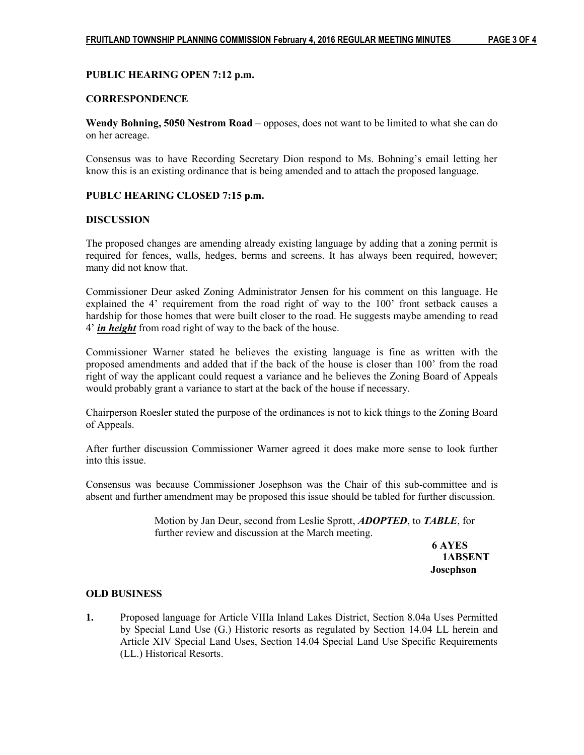## **PUBLIC HEARING OPEN 7:12 p.m.**

## **CORRESPONDENCE**

**Wendy Bohning, 5050 Nestrom Road** – opposes, does not want to be limited to what she can do on her acreage.

Consensus was to have Recording Secretary Dion respond to Ms. Bohning's email letting her know this is an existing ordinance that is being amended and to attach the proposed language.

#### **PUBLC HEARING CLOSED 7:15 p.m.**

## **DISCUSSION**

The proposed changes are amending already existing language by adding that a zoning permit is required for fences, walls, hedges, berms and screens. It has always been required, however; many did not know that.

Commissioner Deur asked Zoning Administrator Jensen for his comment on this language. He explained the 4' requirement from the road right of way to the 100' front setback causes a hardship for those homes that were built closer to the road. He suggests maybe amending to read 4' *in height* from road right of way to the back of the house.

Commissioner Warner stated he believes the existing language is fine as written with the proposed amendments and added that if the back of the house is closer than 100' from the road right of way the applicant could request a variance and he believes the Zoning Board of Appeals would probably grant a variance to start at the back of the house if necessary.

Chairperson Roesler stated the purpose of the ordinances is not to kick things to the Zoning Board of Appeals.

After further discussion Commissioner Warner agreed it does make more sense to look further into this issue.

Consensus was because Commissioner Josephson was the Chair of this sub-committee and is absent and further amendment may be proposed this issue should be tabled for further discussion.

> Motion by Jan Deur, second from Leslie Sprott, *ADOPTED*, to *TABLE*, for further review and discussion at the March meeting.

 **6 AYES 1ABSENT Josephson**

#### **OLD BUSINESS**

**1.** Proposed language for Article VIIIa Inland Lakes District, Section 8.04a Uses Permitted by Special Land Use (G.) Historic resorts as regulated by Section 14.04 LL herein and Article XIV Special Land Uses, Section 14.04 Special Land Use Specific Requirements (LL.) Historical Resorts.